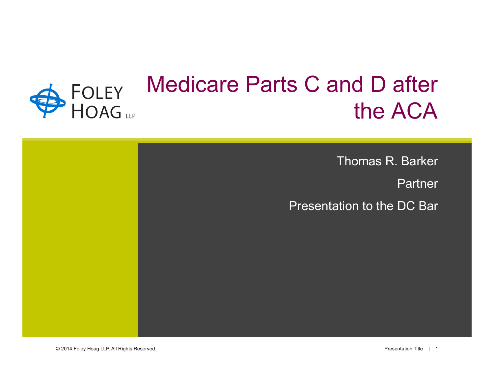# Medicare Parts C and D after FOLEY<br>HOAG the ACA

Thomas R. Barker Partner Presentation to the DC Bar

© 2014 Foley Hoag LLP. All Rights Reserved. Presentation Title | 1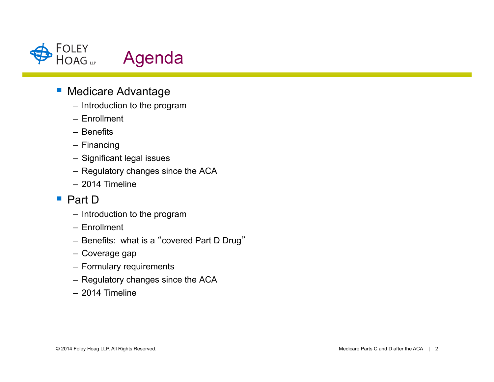

# **E** Medicare Advantage

- Introduction to the program
- Enrollment
- Benefits
- Financing
- Significant legal issues
- Regulatory changes since the ACA
- 2014 Timeline

#### ■ Part D

- Introduction to the program
- Enrollment
- Benefits: what is a "covered Part D Drug"
- Coverage gap
- Formulary requirements
- Regulatory changes since the ACA
- 2014 Timeline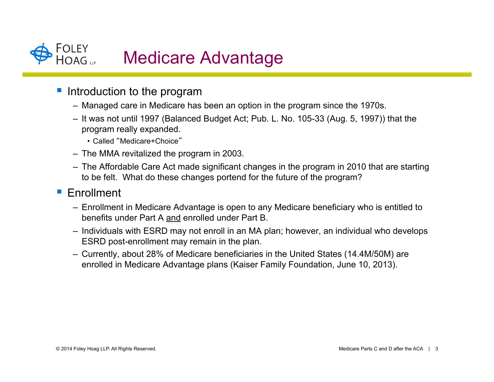

- Introduction to the program
	- Managed care in Medicare has been an option in the program since the 1970s.
	- It was not until 1997 (Balanced Budget Act; Pub. L. No. 105-33 (Aug. 5, 1997)) that the program really expanded.
		- Called "Medicare+Choice"
	- The MMA revitalized the program in 2003.
	- The Affordable Care Act made significant changes in the program in 2010 that are starting to be felt. What do these changes portend for the future of the program?

#### **Enrollment**

- Enrollment in Medicare Advantage is open to any Medicare beneficiary who is entitled to benefits under Part A and enrolled under Part B.
- Individuals with ESRD may not enroll in an MA plan; however, an individual who develops ESRD post-enrollment may remain in the plan.
- Currently, about 28% of Medicare beneficiaries in the United States (14.4M/50M) are enrolled in Medicare Advantage plans (Kaiser Family Foundation, June 10, 2013).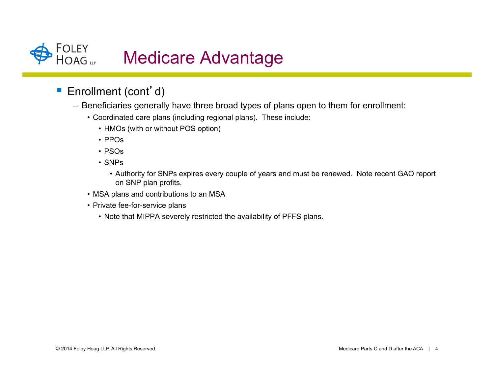

- Enrollment (cont'd)
	- Beneficiaries generally have three broad types of plans open to them for enrollment:
		- Coordinated care plans (including regional plans). These include:
			- HMOs (with or without POS option)
			- PPOs
			- PSOs
			- SNPs
				- Authority for SNPs expires every couple of years and must be renewed. Note recent GAO report on SNP plan profits.
		- MSA plans and contributions to an MSA
		- Private fee-for-service plans
			- Note that MIPPA severely restricted the availability of PFFS plans.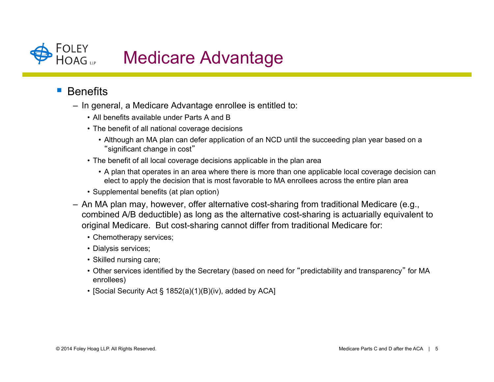

### **Benefits**

- In general, a Medicare Advantage enrollee is entitled to:
	- All benefits available under Parts A and B
	- The benefit of all national coverage decisions
		- Although an MA plan can defer application of an NCD until the succeeding plan year based on a "significant change in cost"
	- The benefit of all local coverage decisions applicable in the plan area
		- A plan that operates in an area where there is more than one applicable local coverage decision can elect to apply the decision that is most favorable to MA enrollees across the entire plan area
	- Supplemental benefits (at plan option)
- An MA plan may, however, offer alternative cost-sharing from traditional Medicare (e.g., combined A/B deductible) as long as the alternative cost-sharing is actuarially equivalent to original Medicare. But cost-sharing cannot differ from traditional Medicare for:
	- Chemotherapy services;
	- Dialysis services;
	- Skilled nursing care;
	- Other services identified by the Secretary (based on need for "predictability and transparency" for MA enrollees)
	- [Social Security Act § 1852(a)(1)(B)(iv), added by ACA]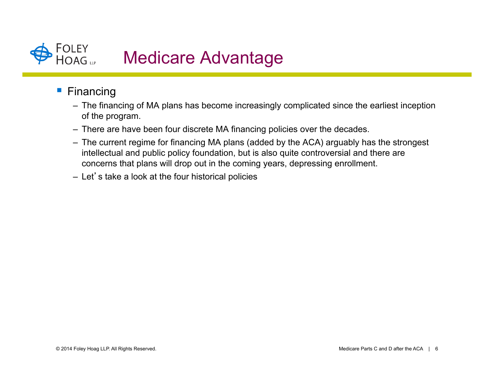

- **Financing** 
	- The financing of MA plans has become increasingly complicated since the earliest inception of the program.
	- There are have been four discrete MA financing policies over the decades.
	- The current regime for financing MA plans (added by the ACA) arguably has the strongest intellectual and public policy foundation, but is also quite controversial and there are concerns that plans will drop out in the coming years, depressing enrollment.
	- Let's take a look at the four historical policies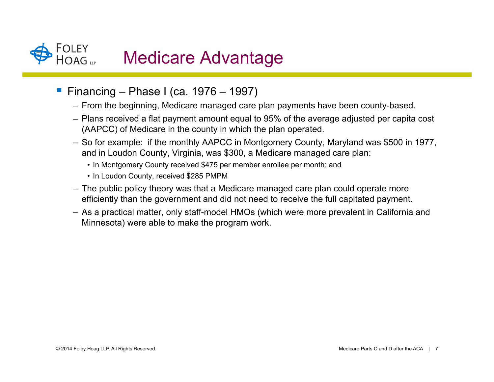

- ! Financing Phase I (ca. 1976 1997)
	- From the beginning, Medicare managed care plan payments have been county-based.
	- Plans received a flat payment amount equal to 95% of the average adjusted per capita cost (AAPCC) of Medicare in the county in which the plan operated.
	- So for example: if the monthly AAPCC in Montgomery County, Maryland was \$500 in 1977, and in Loudon County, Virginia, was \$300, a Medicare managed care plan:
		- In Montgomery County received \$475 per member enrollee per month; and
		- In Loudon County, received \$285 PMPM
	- The public policy theory was that a Medicare managed care plan could operate more efficiently than the government and did not need to receive the full capitated payment.
	- As a practical matter, only staff-model HMOs (which were more prevalent in California and Minnesota) were able to make the program work.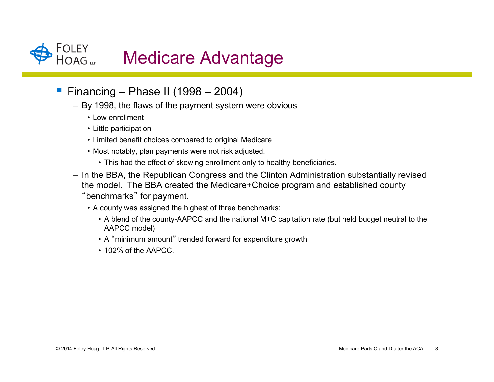

- **Financing Phase II (1998 2004)** 
	- By 1998, the flaws of the payment system were obvious
		- Low enrollment
		- Little participation
		- Limited benefit choices compared to original Medicare
		- Most notably, plan payments were not risk adjusted.
			- This had the effect of skewing enrollment only to healthy beneficiaries.
	- In the BBA, the Republican Congress and the Clinton Administration substantially revised the model. The BBA created the Medicare+Choice program and established county "benchmarks" for payment.
		- A county was assigned the highest of three benchmarks:
			- A blend of the county-AAPCC and the national M+C capitation rate (but held budget neutral to the AAPCC model)
			- A "minimum amount" trended forward for expenditure growth
			- 102% of the AAPCC.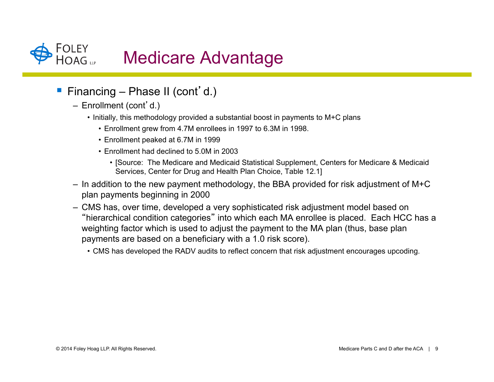

- Financing Phase II (cont'd.)
	- Enrollment (cont'd.)
		- Initially, this methodology provided a substantial boost in payments to M+C plans
			- Enrollment grew from 4.7M enrollees in 1997 to 6.3M in 1998.
			- Enrollment peaked at 6.7M in 1999
			- Enrollment had declined to 5.0M in 2003
				- [Source: The Medicare and Medicaid Statistical Supplement, Centers for Medicare & Medicaid Services, Center for Drug and Health Plan Choice, Table 12.1]
	- $-$  In addition to the new payment methodology, the BBA provided for risk adjustment of M+C plan payments beginning in 2000
	- CMS has, over time, developed a very sophisticated risk adjustment model based on "hierarchical condition categories" into which each MA enrollee is placed. Each HCC has a weighting factor which is used to adjust the payment to the MA plan (thus, base plan payments are based on a beneficiary with a 1.0 risk score).
		- CMS has developed the RADV audits to reflect concern that risk adjustment encourages upcoding.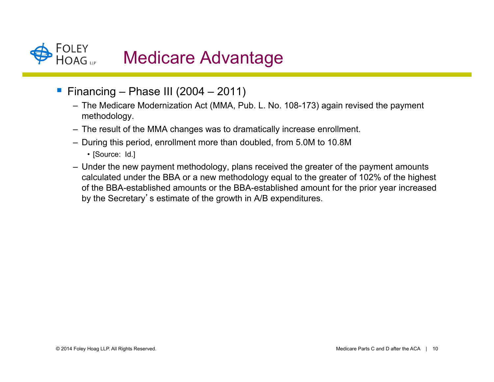

- **Financing Phase III (2004 2011)** 
	- The Medicare Modernization Act (MMA, Pub. L. No. 108-173) again revised the payment methodology.
	- The result of the MMA changes was to dramatically increase enrollment.
	- During this period, enrollment more than doubled, from 5.0M to 10.8M
		- [Source: Id.]
	- Under the new payment methodology, plans received the greater of the payment amounts calculated under the BBA or a new methodology equal to the greater of 102% of the highest of the BBA-established amounts or the BBA-established amount for the prior year increased by the Secretary's estimate of the growth in A/B expenditures.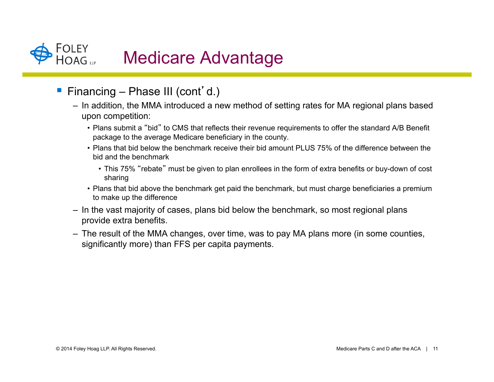

- Financing Phase III (cont'd.)
	- In addition, the MMA introduced a new method of setting rates for MA regional plans based upon competition:
		- Plans submit a "bid" to CMS that reflects their revenue requirements to offer the standard A/B Benefit package to the average Medicare beneficiary in the county.
		- Plans that bid below the benchmark receive their bid amount PLUS 75% of the difference between the bid and the benchmark
			- This 75% "rebate" must be given to plan enrollees in the form of extra benefits or buy-down of cost sharing
		- Plans that bid above the benchmark get paid the benchmark, but must charge beneficiaries a premium to make up the difference
	- In the vast majority of cases, plans bid below the benchmark, so most regional plans provide extra benefits.
	- The result of the MMA changes, over time, was to pay MA plans more (in some counties, significantly more) than FFS per capita payments.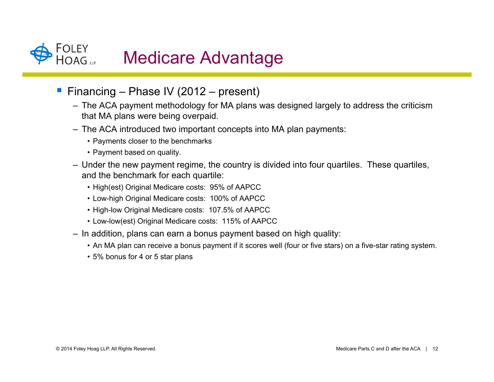

- Financing Phase IV (2012 present)
	- The ACA payment methodology for MA plans was designed largely to address the criticism that MA plans were being overpaid.
	- The ACA introduced two important concepts into MA plan payments:
		- Payments closer to the benchmarks
		- Payment based on quality.
	- Under the new payment regime, the country is divided into four quartiles. These quartiles, and the benchmark for each quartile:
		- High(est) Original Medicare costs: 95% of AAPCC
		- Low-high Original Medicare costs: 100% of AAPCC
		- High-low Original Medicare costs: 107.5% of AAPCC
		- Low-low(est) Original Medicare costs: 115% of AAPCC
	- In addition, plans can earn a bonus payment based on high quality:
		- An MA plan can receive a bonus payment if it scores well (four or five stars) on a five-star rating system.
		- 5% bonus for 4 or 5 star plans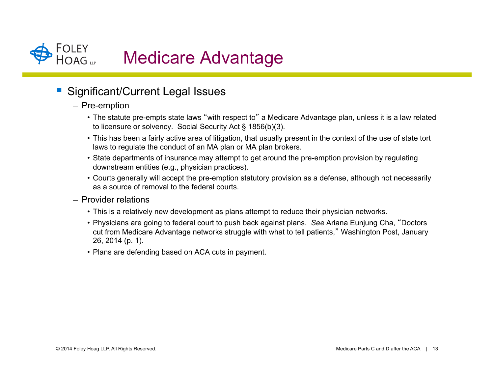

# ! Significant/Current Legal Issues

- Pre-emption
	- The statute pre-empts state laws "with respect to" a Medicare Advantage plan, unless it is a law related to licensure or solvency. Social Security Act § 1856(b)(3).
	- This has been a fairly active area of litigation, that usually present in the context of the use of state tort laws to regulate the conduct of an MA plan or MA plan brokers.
	- State departments of insurance may attempt to get around the pre-emption provision by regulating downstream entities (e.g., physician practices).
	- Courts generally will accept the pre-emption statutory provision as a defense, although not necessarily as a source of removal to the federal courts.
- Provider relations
	- This is a relatively new development as plans attempt to reduce their physician networks.
	- Physicians are going to federal court to push back against plans. *See* Ariana Eunjung Cha, "Doctors cut from Medicare Advantage networks struggle with what to tell patients," Washington Post, January 26, 2014 (p. 1).
	- Plans are defending based on ACA cuts in payment.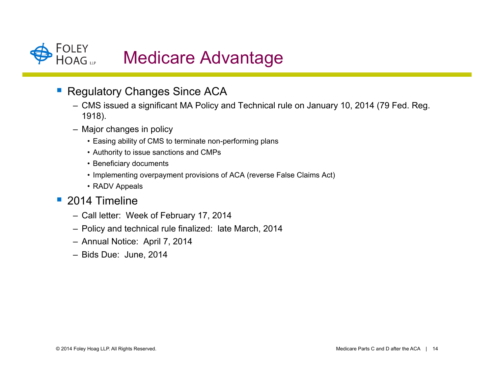

- **Regulatory Changes Since ACA** 
	- CMS issued a significant MA Policy and Technical rule on January 10, 2014 (79 Fed. Reg. 1918).
	- Major changes in policy
		- Easing ability of CMS to terminate non-performing plans
		- Authority to issue sanctions and CMPs
		- Beneficiary documents
		- Implementing overpayment provisions of ACA (reverse False Claims Act)
		- RADV Appeals
- **2014 Timeline** 
	- Call letter: Week of February 17, 2014
	- Policy and technical rule finalized: late March, 2014
	- Annual Notice: April 7, 2014
	- Bids Due: June, 2014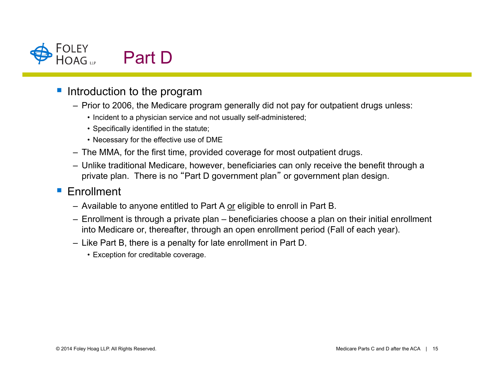

- Introduction to the program
	- Prior to 2006, the Medicare program generally did not pay for outpatient drugs unless:
		- Incident to a physician service and not usually self-administered;
		- Specifically identified in the statute;
		- Necessary for the effective use of DME
	- The MMA, for the first time, provided coverage for most outpatient drugs.
	- Unlike traditional Medicare, however, beneficiaries can only receive the benefit through a private plan. There is no "Part D government plan" or government plan design.

### **Enrollment**

- Available to anyone entitled to Part A or eligible to enroll in Part B.
- Enrollment is through a private plan beneficiaries choose a plan on their initial enrollment into Medicare or, thereafter, through an open enrollment period (Fall of each year).
- Like Part B, there is a penalty for late enrollment in Part D.
	- Exception for creditable coverage.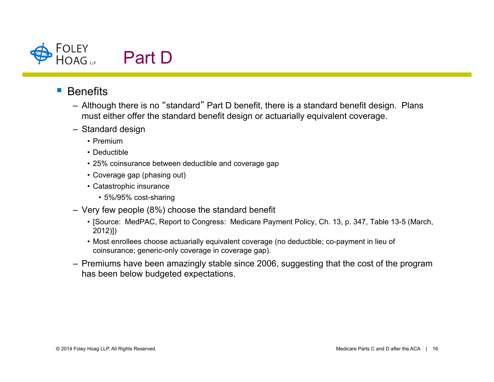

#### ■ Benefits

- Although there is no "standard" Part D benefit, there is a standard benefit design. Plans must either offer the standard benefit design or actuarially equivalent coverage.
- Standard design
	- Premium
	- Deductible
	- 25% coinsurance between deductible and coverage gap
	- Coverage gap (phasing out)
	- Catastrophic insurance
		- 5%/95% cost-sharing
- Very few people (8%) choose the standard benefit
	- [Source: MedPAC, Report to Congress: Medicare Payment Policy, Ch. 13, p. 347, Table 13-5 (March, 2012)])
	- Most enrollees choose actuarially equivalent coverage (no deductible; co-payment in lieu of coinsurance; generic-only coverage in coverage gap).
- Premiums have been amazingly stable since 2006, suggesting that the cost of the program has been below budgeted expectations.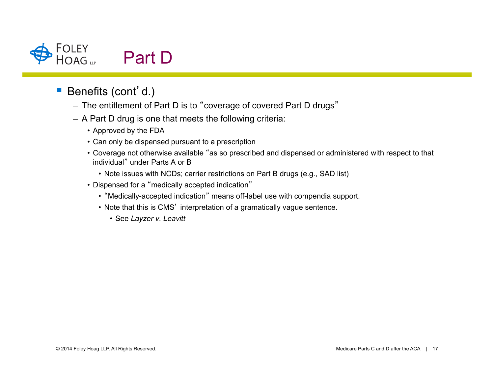

- Benefits (cont'd.)
	- The entitlement of Part D is to "coverage of covered Part D drugs"
	- A Part D drug is one that meets the following criteria:
		- Approved by the FDA
		- Can only be dispensed pursuant to a prescription
		- Coverage not otherwise available "as so prescribed and dispensed or administered with respect to that individual" under Parts A or B
			- Note issues with NCDs; carrier restrictions on Part B drugs (e.g., SAD list)
		- Dispensed for a "medically accepted indication"
			- "Medically-accepted indication" means off-label use with compendia support.
			- Note that this is CMS' interpretation of a gramatically vague sentence.
				- See *Layzer v. Leavitt*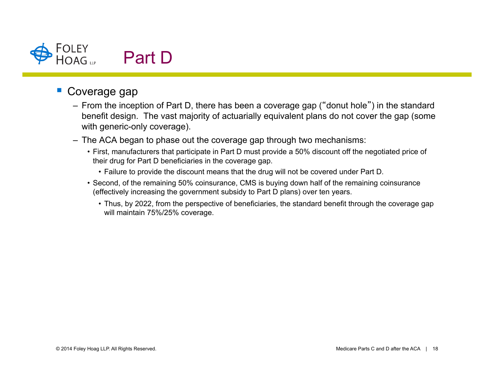

# Coverage gap

- From the inception of Part D, there has been a coverage gap ("donut hole") in the standard benefit design. The vast majority of actuarially equivalent plans do not cover the gap (some with generic-only coverage).
- The ACA began to phase out the coverage gap through two mechanisms:
	- First, manufacturers that participate in Part D must provide a 50% discount off the negotiated price of their drug for Part D beneficiaries in the coverage gap.
		- Failure to provide the discount means that the drug will not be covered under Part D.
	- Second, of the remaining 50% coinsurance, CMS is buying down half of the remaining coinsurance (effectively increasing the government subsidy to Part D plans) over ten years.
		- Thus, by 2022, from the perspective of beneficiaries, the standard benefit through the coverage gap will maintain 75%/25% coverage.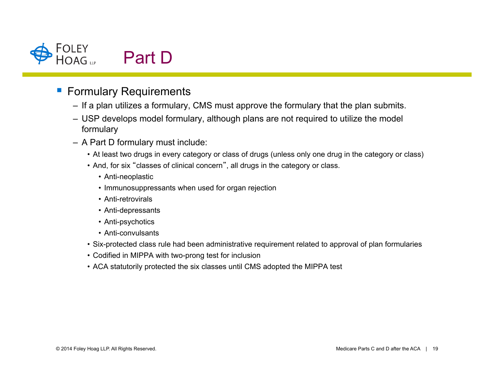

# **Formulary Requirements**

- If a plan utilizes a formulary, CMS must approve the formulary that the plan submits.
- USP develops model formulary, although plans are not required to utilize the model formulary
- A Part D formulary must include:
	- At least two drugs in every category or class of drugs (unless only one drug in the category or class)
	- And, for six "classes of clinical concern", all drugs in the category or class.
		- Anti-neoplastic
		- Immunosuppressants when used for organ rejection
		- Anti-retrovirals
		- Anti-depressants
		- Anti-psychotics
		- Anti-convulsants
	- Six-protected class rule had been administrative requirement related to approval of plan formularies
	- Codified in MIPPA with two-prong test for inclusion
	- ACA statutorily protected the six classes until CMS adopted the MIPPA test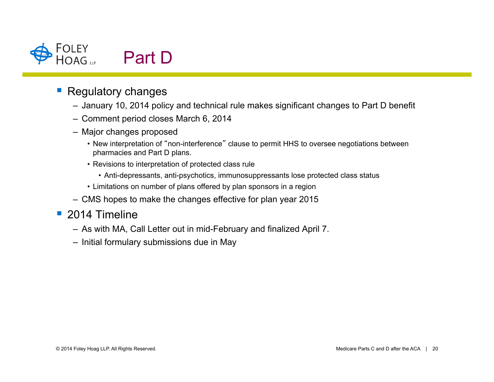

# **Regulatory changes**

- January 10, 2014 policy and technical rule makes significant changes to Part D benefit
- Comment period closes March 6, 2014
- Major changes proposed
	- New interpretation of "non-interference" clause to permit HHS to oversee negotiations between pharmacies and Part D plans.
	- Revisions to interpretation of protected class rule
		- Anti-depressants, anti-psychotics, immunosuppressants lose protected class status
	- Limitations on number of plans offered by plan sponsors in a region
- CMS hopes to make the changes effective for plan year 2015

#### $\blacksquare$  2014 Timeline

- As with MA, Call Letter out in mid-February and finalized April 7.
- Initial formulary submissions due in May